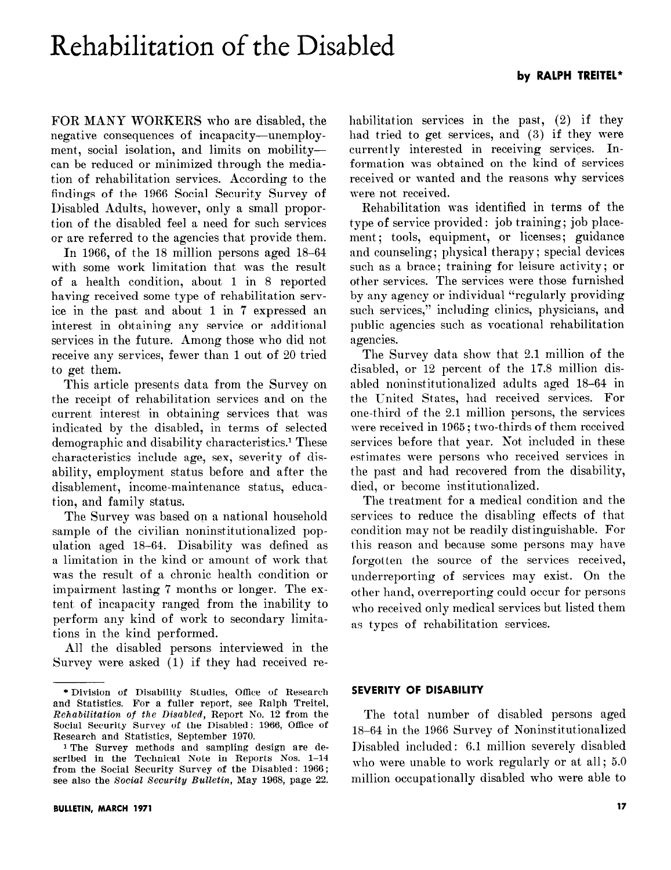# Rehabilitation of the Disabled

FOR MANY WORKERS who are disabled, the negative consequences of incapacity-unemployment, social isolation, and limits on mobilitycan be reduced or minimized through the mediation of rehabilitation services. According to the findings of the 1966 Social Security Survey of Disabled Adults, however, only a small proportion of the disabled feel a need for such services or are referred to the agencies that provide them.

In 1966, of the 18 million persons aged 18-64 with some work limitation that was the result of a health condition, about 1 in 8 reported having received some type of rehabilitation service in the past and about 1 in 7 expressed an interest in obtaining any service or additional services in the future. Among those who did not receive any services, fewer than 1 out of 20 tried to get them.

This article presents data from the Survey on the receipt of rehabilitation services and on the current interest in obtaining services that was indicated by the disabled, in terms of selected demographic and disability characteristics.<sup>1</sup> These characteristics include age, sex, severity of disability, employment status before and after the disablement, income-maintenance status, education, and family status.

The Survey was based on a national household sample of the civilian noninstitutionalized population aged 18-64. Disability was defined as a limitation in the kind or amount of work that was the result of a chronic health condition or impairment lasting '7 months or longer. The extent of incapacity ranged from the inability to perform any kind of work to secondary limitations in the kind performed.

All the disabled persons interviewed in the Survey were asked (1) if they had received rehabilitation services in the past, (2) if they had tried to get services, and (3) if they were currently interested in receiving services. Information was obtained on the kind of services received or wanted and the reasons why services were not received.

Rehabilitation was identified in terms of the type of service provided: job training; job placement; tools, equipment, or licenses; guidance and counseling; physical therapy; special devices such as a brace; training for leisure activity; or other services. The services were those furnished by any agency or individual "regularly providing such services," including clinics, physicians, and public agencies such as vocational rehabilitation agencies.

The Survey data show that 2.1 million of the disabled, or 12 percent of the 17.8 million disabled noninstitutionalized adults aged 18-64 in the Cnited States, had received services. For one-third of the 2.1 million persons, the services were received in 1965 ; two-thirds of them received services before that year. Not included in these estimates were persons who received services in the past and had recovered from the disability, died, or become institutionalized.

The treatment for a medical condition and the services to reduce the disabling effects of that condition may not be readily distinguishable. For this reason and because some persons may have forgotten the source of the services received, underreporting of services may exist. On the other hand, overreporting could occur for persons who received only medical services but listed them as types of rehabilitation services.

#### SEVERITY OF DISABILITY

The total number of disabled persons aged 18-64 in the 1966 Survey of Noninstitutionalized Disabled included : 6.1 million severely disabled who were unable to work regularly or at all;  $5.0$ million occupationally disabled who were able to

<sup>\*</sup>Division of Disability Studies, Office of Research and Statistics. For a fuller report, see Ralph Treitel, Rehabilitation of the Disabled, Report No. 12 from the Social Security Survey of the Disabled: 1966, Office of Research and Statistics, September 1970.

<sup>1</sup> The Survey methods and sampling design are described in the Technical Note in Reports Nos. 1-14 from the Social Security Survey of the Disabled: 1966; see also the Social Security Bulletin, May 1968, page 22.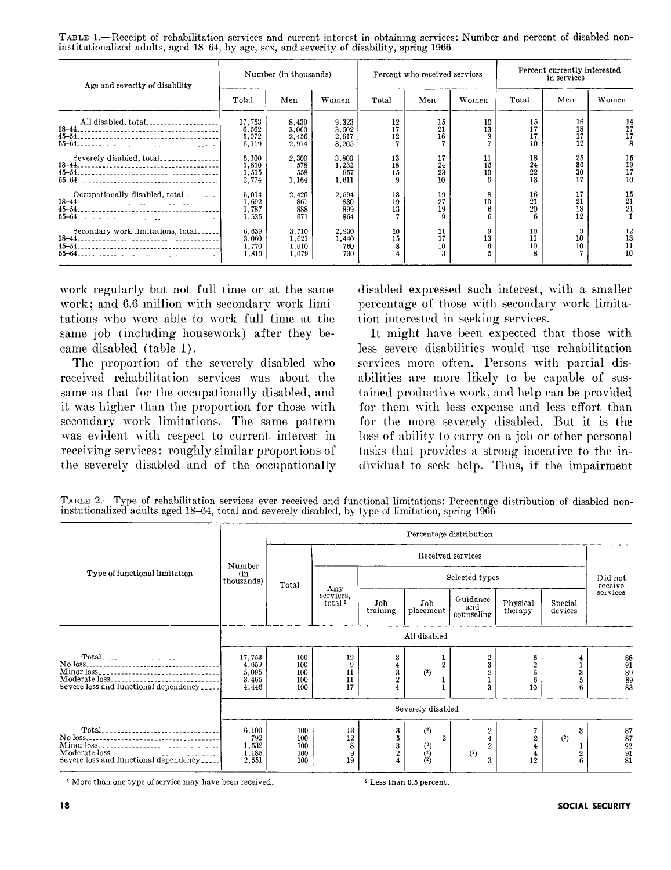TABLE 1.—Receipt of rehabilitation services and current interest in obtaining services: Number and percent of disabled noninstitutionalized adults, aged 18-64, by age, sex, and severity of disability, spring 1966

| Age and severity of disability    | Number (in thousands)             |                                  |                                  | Percent who received services |                      |                | Percent currently interested<br>in services |                      |                      |
|-----------------------------------|-----------------------------------|----------------------------------|----------------------------------|-------------------------------|----------------------|----------------|---------------------------------------------|----------------------|----------------------|
|                                   | Total                             | Men                              | Women                            | Total                         | Men                  | Women          | Total                                       | Men                  | Women                |
| All disabled, total               | 17,753<br>6.562<br>5.072<br>6,119 | 8,430<br>3.060<br>2,456<br>2,914 | 9,323<br>3.502<br>2,617<br>3,205 | 12<br>17<br>12                | 15<br>21<br>16       | 10<br>13       | 15<br>17<br>17<br>10                        | 16<br>18<br>17<br>12 | 14<br>17<br>17       |
|                                   | 6.100<br>1,810<br>1,515<br>2,774  | 2,300<br>578<br>558<br>1,164     | 3,800<br>1,232<br>957<br>1,611   | 13<br>18<br>15                | 17<br>24<br>23<br>10 | 11<br>15<br>10 | 18<br>24<br>22<br>13                        | 25<br>36<br>30<br>17 | 15<br>19<br>17<br>10 |
| Occupationally disabled, total    | 5,014<br>1,692<br>1,787<br>1.535  | 2.420<br>861<br>888<br>671       | 2,594<br>830<br>899<br>864       | 13<br>19<br>13                | 19<br>27<br>19       | 10             | 16<br>21<br>20                              | 17<br>21<br>18<br>12 | 15<br>21<br>21       |
| Secondary work limitations, total | 6,639<br>3,060<br>1.770<br>1.810  | 3,710<br>1,621<br>1.010<br>1,079 | 2,930<br>1,440<br>760<br>730     | 10<br>15                      | 11<br>17<br>10       | 13             | 10<br>11<br>10                              | 10<br>10             | 12<br>13<br>11<br>10 |

work regularly but not full time or at the same work; and 6.6 million with secondary work limitations who were able to work full time at the same job (including housework) after they became disabled (table 1).

The proportion of the severely disabled who received rehabilitation services was about the same as that for the occupationally disabled, and it was higher than the proportion for those with secondary work limitations. The same pattern was evident with respect to current interest in receiving services: roughly similar proportions of the severely disabled and of the occupationally disabled expressed such interest, with a smaller percentage of those with secondary work limitation interested in seeking services.

It might hare been expected that those with less severe disabilities would use rehabilitation services more often. Persons with partial disabilities are more likely to be capable of sustained productive work, and help can be provided for them with less expense and less effort than for the more severely disabled. But it is the loss of ability to carry on a job or other personal tasks that provides a strong incentive to the indiridual to seek help. Thus, if the impairment

TABLE 2.-Type of rehabilitation services ever received and functional limitations: Percentage distribution of disabled noninstutionalized adults aged 18-64, total and severely disabled, by type of limitation, spring 1966

|                                                                      |                                                   |                                 |                                        |                               |                                                                           | Percentage distribution       |                       |                    |                                                           |  |
|----------------------------------------------------------------------|---------------------------------------------------|---------------------------------|----------------------------------------|-------------------------------|---------------------------------------------------------------------------|-------------------------------|-----------------------|--------------------|-----------------------------------------------------------|--|
|                                                                      |                                                   |                                 | Received services                      |                               |                                                                           |                               |                       |                    |                                                           |  |
| Type of functional limitation                                        | Number<br>(in<br>thousands)                       | Total                           |                                        | Selected types                |                                                                           |                               |                       |                    | Did not<br>receive                                        |  |
|                                                                      |                                                   |                                 | Any<br>services.<br>total <sup>1</sup> | Job<br>training               | Job<br>placement                                                          | Guidance<br>and<br>counseling | Physical<br>therapy   | Special<br>devices | services                                                  |  |
|                                                                      |                                                   | All disabled                    |                                        |                               |                                                                           |                               |                       |                    |                                                           |  |
| Severe loss and functional dependency                                | 17,753<br>4,659<br>$\frac{5,095}{3,465}$<br>4.446 | 100<br>100<br>100<br>100<br>100 | 12<br>9<br>11<br>11<br>17              | 3<br>$\frac{4}{3}$<br>$\bf 2$ | $\overline{2}$<br>(2)                                                     | 2<br>3<br>3                   | 6<br>10               | 6                  | $\begin{array}{c} 88 \\ 91 \\ 89 \\ 89 \\ 83 \end{array}$ |  |
|                                                                      |                                                   |                                 |                                        |                               | Severely disabled                                                         |                               |                       |                    |                                                           |  |
| Minor loss<br>Moderate loss<br>Severe loss and functional dependency | 6,100<br>792<br>1,532<br>1,185<br>2,551           | 100<br>100<br>100<br>100<br>100 | 13<br>12<br>8<br>9<br>19               | 3<br>5<br>3<br>$\overline{2}$ | $(2)$<br>$\mathbf{2}$<br>$\begin{pmatrix} 2 \\ 2 \\ 2 \\ 2 \end{pmatrix}$ | $\overline{2}$<br>(2)<br>3    | $\,2\,$<br>$1\bar{2}$ | 3<br>(2)           | $\frac{87}{87}$<br>$\frac{92}{91}$<br>$\frac{91}{81}$     |  |

1 More than one type of service may have been received. 2 Less than 0.5 percent.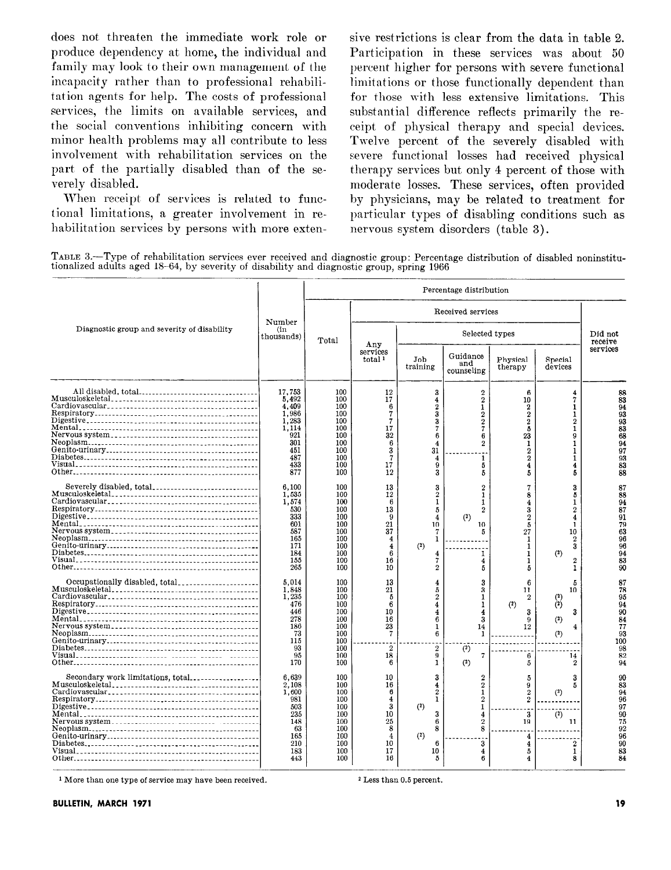does not threaten the immediate work role or sive restrictions is clear from the data in table 2. produce dependency at home, the individual and Participation in these services was about 50 family may look to their own management of the percent higher for persons with severe functional incapacity rather than to professional rehabili- limitations or those functionally dependent than tation agents for help. The costs of professional for those with less extensive limitations. This services, the limits on available services, and substantial difference reflects primarily the rethe social conventions inhibiting concern with ceipt of physical therapy and special devices. minor health problems may all contribute to less Twelve percent of the severely disabled with involvement with rehabilitation services on the severe functional losses had received physical part of the partially disabled than of the se- therapy services but only 4 percent of those with

tional limitations, a greater involvement in re- particular types of disabling conditions such as habilitation services by persons with more exten- nervous system disorders (table 3).

verely disabled. moderate losses. These services, often provided When receipt of services is related to func- by physicians, may be related to treatment for

TABLE X-Type of rehabilitation services ever received and diagnostic group: Percentage distribution of disabled noninstitutionalized adults aged 18-64, by severity of disability and diagnostic group, spring 1966

|                                             |                                                                                               | Percentage distribution                                                          |                                                                          |                                                                                                                  |                                                                                                                 |                                                                                                                        |                                                                                                    |                                                                       |  |
|---------------------------------------------|-----------------------------------------------------------------------------------------------|----------------------------------------------------------------------------------|--------------------------------------------------------------------------|------------------------------------------------------------------------------------------------------------------|-----------------------------------------------------------------------------------------------------------------|------------------------------------------------------------------------------------------------------------------------|----------------------------------------------------------------------------------------------------|-----------------------------------------------------------------------|--|
|                                             |                                                                                               | Number<br>Total                                                                  |                                                                          |                                                                                                                  |                                                                                                                 |                                                                                                                        |                                                                                                    |                                                                       |  |
| Diagnostic group and severity of disability | (in<br>thousands)                                                                             |                                                                                  | Any                                                                      |                                                                                                                  | Did not<br>receive                                                                                              |                                                                                                                        |                                                                                                    |                                                                       |  |
|                                             |                                                                                               |                                                                                  | services<br>total <sup>1</sup>                                           | Job<br>training                                                                                                  | Guidance<br>and<br>counseling                                                                                   | Physical<br>therapy                                                                                                    | Special<br>devices                                                                                 | services                                                              |  |
| All disabled, total                         | 17,753<br>5.492<br>4.409<br>1.986<br>1,283<br>1.114<br>921<br>301<br>451<br>487<br>433<br>877 | 100<br>100<br>100<br>100<br>100<br>100<br>100<br>100<br>100<br>100<br>100<br>100 | 12<br>17<br>6<br>17<br>32<br>6<br>3<br>17<br>12                          | 3<br>$\overline{\bf 4}$<br>$\overline{2}$<br>3<br>3<br>6<br>4<br>31<br>$\overline{4}$<br>9<br>3                  | $\mathbf{2}$<br>$\overline{2}$<br>1<br>$\overline{2}$<br>$\mathbf 2$<br>7<br>6<br>$\overline{2}$<br>1<br>5<br>5 | 6<br>10<br>$\mathbf 2$<br>$\overline{2}$<br>$\overline{2}$<br>Б<br>23<br>1<br>$\overline{2}$<br>$\mathbf{2}$<br>4<br>5 | 4<br>7<br>1<br>1<br>2<br>$\mathbf{1}$<br>ġ<br>1<br>1<br>1<br>4<br>5                                | 88<br>83<br>94<br>93<br>93<br>83<br>68<br>94<br>97<br>93<br>83<br>88  |  |
| Severely disabled, total                    | 6,100<br>1,535<br>1,574<br>530<br>333<br>601<br>587<br>165<br>171<br>184<br>155<br>265        | 100<br>100<br>100<br>100<br>100<br>100<br>100<br>100<br>100<br>100<br>100<br>100 | 13<br>12<br>6<br>13<br>9<br>21<br>37<br>4<br>6<br>16<br>10               | 3<br>$\overline{2}$<br>1<br>5<br>$\overline{4}$<br>10<br>1<br>(2)<br>4<br>7<br>$\overline{2}$                    | $\boldsymbol{2}$<br>$\mathbf{1}$<br>1<br>$\mathbf{2}$<br>(2)<br>10<br>5<br>1<br>$\overline{4}$<br>5             | 8<br>4<br>3<br>$\overline{2}$<br>5<br>27<br>1<br>1<br>1<br>5                                                           | 3<br>b<br>1<br>$\overline{2}$<br>4<br>1<br>10<br>$\overline{2}$<br>3<br>(2)<br>$\overline{2}$<br>1 | 87<br>88<br>94<br>87<br>91<br>79<br>63<br>96<br>96<br>94<br>83<br>90  |  |
|                                             | 5,014<br>1.848<br>1,235<br>476<br>446<br>278<br>186<br>73<br>115<br>93<br>95<br>170           | 100<br>100<br>100<br>100<br>100<br>100<br>100<br>100<br>100<br>100<br>100<br>100 | 13<br>21<br>5<br>6<br>10<br>16<br>23<br>7<br>$\boldsymbol{2}$<br>18<br>6 | 4<br>5<br>$\overline{2}$<br>$\overline{\bf{4}}$<br>$\boldsymbol{4}$<br>6<br>1<br>6<br>$\boldsymbol{2}$<br>9<br>1 | З<br>3<br>1<br>1<br>3<br>14<br>1<br>(2)<br>7<br>(2)                                                             | 6<br>11<br>$\boldsymbol{2}$<br>(2)<br>3<br>9<br>12<br>6<br>5                                                           | 5<br>10<br>$(2)$<br>3<br>$^{(2)}$<br>$\overline{\mathbf{4}}$<br>$(2)$<br>14<br>$\mathbf{2}$        | 87<br>78<br>95<br>94<br>90<br>84<br>77<br>93<br>100<br>98<br>82<br>94 |  |
| Secondary work limitations, total           | 6.639<br>2.108<br>1,600<br>981<br>503<br>235<br>148<br>63<br>165<br>210<br>183<br>443         | 100<br>100<br>100<br>100<br>100<br>100<br>100<br>100<br>100<br>100<br>100<br>100 | 10<br>16<br>6<br>4<br>3<br>10<br>25<br>8<br>10<br>17<br>16               | 3<br>4<br>$\overline{2}$<br>1<br>(2)<br>3<br>6<br>8<br>(2)<br>6<br>10<br>5                                       | $\overline{2}$<br>$\overline{2}$<br>1<br>$\overline{2}$<br>1<br>4<br>$\overline{2}$<br>8<br>3<br>4<br>6         | 5<br>9<br>$\overline{2}$<br>$\overline{2}$<br>3<br>19<br>4<br>$\overline{4}$<br>5<br>4                                 | 3<br>5<br>(2)<br>(2)<br>11<br>2<br>1<br>8                                                          | 90<br>83<br>94<br>96<br>97<br>90<br>75<br>92<br>96<br>90<br>83<br>84  |  |

1 More than one type of service may have been received.

2 Less than 0.5 percent.

BULLETIN, MARCH 1971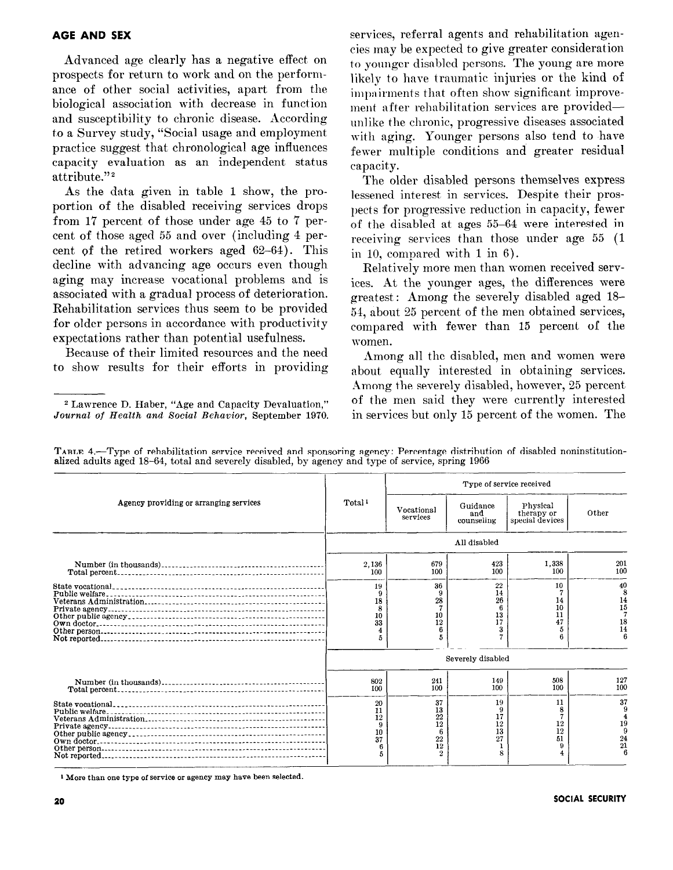#### AGE AND SEX

Advanced age clearly has a negative effect on prospects for return to work and on the performance of other social activities, apart from the biological association with decrease in function and susceptibility to chronic disease. According to a Survey study, "Social usage and employment practice suggest that chronological age influences capacity evaluation as an independent status attribute."<sup>2</sup>

As the data given in table 1 show, the proportion of the disabled receiving services drops from 17 percent of those under age 45 to 7 percent of those aged 55 and over (including 4 percent of the retired workers aged 62-64). This decline with advancing age occurs even though aging may increase vocational problems and is associated with a gradual process of deterioration. Rehabilitation services thus seem to be provided for older persons in accordance with productivity expectations rather than potential usefulness.

Because of their limited resources and the need to show results for their efforts in providing services, referral agents and rehabilitation agencies may be expected to give greater consideration to younger disabled persons. The young are more likely to have traumatic injuries or the kind of impairments that often show significant improvement after rehabilitation services are providedunlike the chronic, progressive diseases associated with aging. Younger persons also tend to have fewer multiple conditions and greater residual capacity.

The older disabled persons themselves express lessened interest in services. Despite their prospects for progressive reduction in capacity, fewer of the disabled at ages 55-64 were interested in receiving services than those under age 55 (1 in 10, compared with 1 in 6).

Relatively more men than women received services. At the younger ages, the differences were greatest: Among the severely disabled aged 1% 54, about 25 percent of the men obtained services, compared with fewer than 15 percent of the women.

Among all the disabled, men and women were about equally interested in obtaining services. Among the severely disabled, however, 25 percent of the men said they were currently interested in services but only 15 percent of the women. The

|  | TABLE 4.—Type of rehabilitation service received and sponsoring agency: Percentage distribution of disabled noninstitution- |  |  |  |
|--|-----------------------------------------------------------------------------------------------------------------------------|--|--|--|
|  | alized adults aged 18–64, total and severely disabled, by agency and type of service, spring 1966                           |  |  |  |
|  |                                                                                                                             |  |  |  |

|                                        |                                      | Type of service received                                |                                      |                                           |                            |  |  |  |
|----------------------------------------|--------------------------------------|---------------------------------------------------------|--------------------------------------|-------------------------------------------|----------------------------|--|--|--|
| Agency providing or arranging services | Total <sup>1</sup>                   | Vocational<br>services                                  | Guidance<br>and<br>counseling        | Physical<br>therapy or<br>special devices | Other                      |  |  |  |
|                                        |                                      |                                                         | All disabled                         |                                           |                            |  |  |  |
|                                        | 2.136<br>100                         | 679<br>100                                              | 423<br>100                           | 1.338<br>100                              | 201<br>100                 |  |  |  |
|                                        | 19<br>18<br>8<br>10<br>33<br>5       | 36<br>28<br>10<br>12                                    | 22<br>14<br>26<br>6<br>13<br>17<br>3 | 10<br>14<br>10<br>11<br>47<br>5<br>А      | 40<br>14<br>15<br>18<br>14 |  |  |  |
|                                        | Severely disabled                    |                                                         |                                      |                                           |                            |  |  |  |
|                                        | 802<br>100                           | 241<br>100                                              | 149<br>100                           | 508<br>100                                | 127<br>100                 |  |  |  |
|                                        | 20<br>11<br>12<br>9<br>10<br>37<br>5 | 37<br>13<br>22<br>12<br>6<br>22<br>12<br>$\overline{2}$ | 19<br>17<br>12<br>13<br>27<br>8      | 11<br>8<br>12<br>12<br>51<br>9            | 37<br>19<br>24<br>21       |  |  |  |

1 More than one type of service or agency may have been selected.

<sup>\*</sup> Lawrence D. Haber, "Age and Capacity Devaluation," Journal of Health and Social Behavior, September 1970.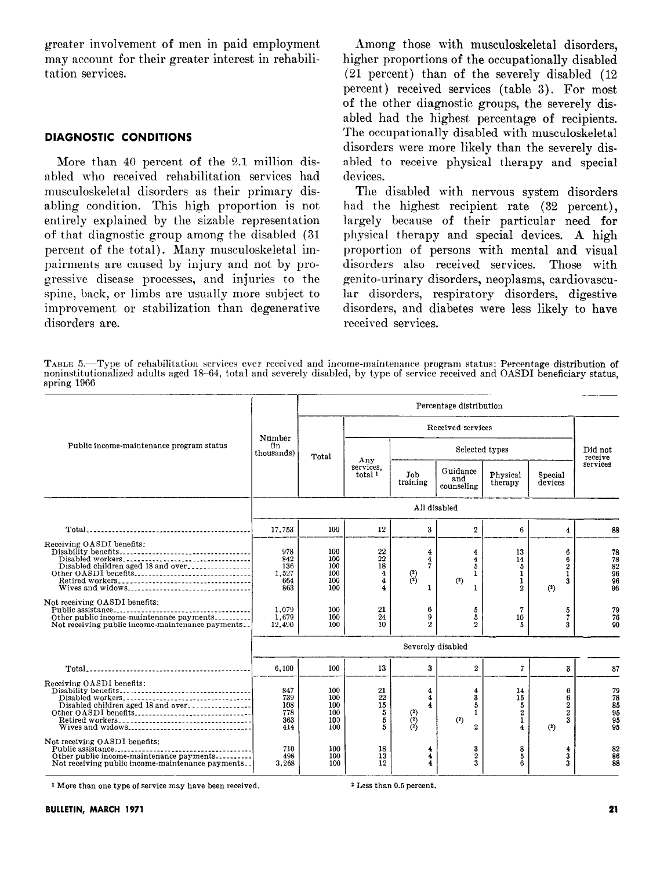greater involvement of men in paid employment may account for their greater interest in rehabilitation services.

#### DIAGNOSTIC CONDITIONS

More than 40 percent of the 2.1 million disabled who received rehabilitation services had musculoskeletal disorders as their primary disabling condition. This high proportion is not entirely explained by the sizable representation of that diagnostic group among the disabled (31 percent of the total). Many musculoskeletal impairments are caused by injury and not by progressive disease processes, and injuries to the spine, back, or limbs are usually more subject to improvement or stabilization than degenerative disorders are.

Among those with musculoskeletal disorders, higher proportions of the occupationally disabled (21 percent) than of the severely disabled (12 percent) received services (table 3). For most of the other diagnostic groups, the severely disabled had the highest percentage of recipients. The occupationally disabled with musculoskeletal disorders were more likely than the severely disabled to receive physical therapy and special devices.

The disabled with nervous system disorders had the highest recipient rate (32 percent), largely because of their particular need for physical therapy and special devices. A high proportion of persons with mental and visual disorders also received services. Those with genito-urinary disorders, neoplasms, cardiorascular disorders, respiratory disorders, digestive disorders, and diabetes were less likely to have received services.

TABLE 5.-Type of rehabilitation services ever received and income-maintenance program status: Percentage distribution of noninstitutionalized adults aged 18-64, total and severely disabled, by type of service received and OASDI beneficiary status, spring 1966

|                                                                                                                                 |                                          |                                        |                                                                               |                                                                                  | Percentage distribution                 |                                                      |                                                          |                                         |  |  |
|---------------------------------------------------------------------------------------------------------------------------------|------------------------------------------|----------------------------------------|-------------------------------------------------------------------------------|----------------------------------------------------------------------------------|-----------------------------------------|------------------------------------------------------|----------------------------------------------------------|-----------------------------------------|--|--|
|                                                                                                                                 | Number                                   |                                        | Received services                                                             |                                                                                  |                                         |                                                      |                                                          |                                         |  |  |
| Public income-maintenance program status                                                                                        | (in<br>thousands)                        | Total                                  | Any                                                                           | Selected types                                                                   |                                         |                                                      |                                                          | Did not<br>receive                      |  |  |
|                                                                                                                                 |                                          |                                        | services.<br>total <sup>1</sup>                                               | Job<br>training                                                                  | Guidance<br>and<br>counseling           | Physical<br>therapy                                  | Special<br>devices                                       | services                                |  |  |
|                                                                                                                                 |                                          | All disabled                           |                                                                               |                                                                                  |                                         |                                                      |                                                          |                                         |  |  |
|                                                                                                                                 | 17,753                                   | 100                                    | 12                                                                            | 3                                                                                | $\overline{2}$                          | 6                                                    | 4                                                        | 88                                      |  |  |
| Receiving OASDI benefits:<br>Disabled children aged 18 and over<br>Other OASDI benefits<br>Wives and widows                     | 978<br>842<br>136<br>1.527<br>664<br>863 | 100<br>100<br>100<br>100<br>100<br>100 | 22<br>22<br>18<br>$\overline{4}$<br>$\overline{4}$<br>$\overline{\mathbf{4}}$ | 4<br>4<br>$\overline{7}$<br>$\binom{2}{2}$<br>1                                  | 4<br>4<br>5<br>1<br>(2)<br>1            | 13<br>14<br>5<br>$\mathbf{1}$<br>1<br>$\overline{2}$ | 6<br>6<br>$\mathbf{2}$<br>1<br>3<br>(2)                  | 78<br>$\frac{78}{82}$<br>96<br>96<br>96 |  |  |
| Not receiving OASDI benefits:<br>Other public income-maintenance payments<br>Not receiving public income-maintenance payments.  | 1.079<br>1.679<br>12,490                 | 100<br>100<br>100                      | 21<br>24<br>10                                                                | 6<br>9<br>$\overline{2}$                                                         | 5<br>5<br>$\mathbf{2}$                  | 7<br>10<br>5                                         | 5<br>7<br>3                                              | 79<br>76<br>90                          |  |  |
|                                                                                                                                 |                                          |                                        |                                                                               | Severely disabled                                                                |                                         |                                                      |                                                          |                                         |  |  |
|                                                                                                                                 | 6,100                                    | 100                                    | 13                                                                            | 3                                                                                | $\mathbf{2}$                            | 7                                                    | 3                                                        | 87                                      |  |  |
| Receiving OASDI benefits:<br>Disabled workers<br>Disabled children aged 18 and over<br>Other OASDI benefits<br>Wives and widows | 847<br>739<br>108<br>778<br>363<br>414   | 100<br>100<br>100<br>100<br>100<br>100 | 21<br>22<br>15<br>5<br>5<br>5                                                 | 4<br>$\overline{\mathbf{4}}$<br>4<br>$\begin{pmatrix} 2 \\ 2 \\ 2 \end{pmatrix}$ | 4<br>3<br>5<br>1<br>(?)<br>$\mathbf{2}$ | 14<br>15<br>5<br>$\overline{2}$<br>1<br>4            | 6<br>6<br>$\overline{2}$<br>$\overline{2}$<br>3<br>$(2)$ | 79<br>78<br>85<br>95<br>95<br>95        |  |  |
| Not receiving OASDI benefits:<br>Other public income-maintenance payments<br>Not receiving public income-maintenance payments   | 710<br>498<br>3,268                      | 100<br>100<br>100                      | 18<br>13<br>12                                                                | 4<br>4<br>4                                                                      | 3<br>$\boldsymbol{2}$<br>3              | 8<br>5<br>6                                          | 4<br>3<br>3                                              | 82<br>86<br>88                          |  |  |

<sup>1</sup> More than one type of service may have been received. <sup>2</sup> Less than 0.5 percent.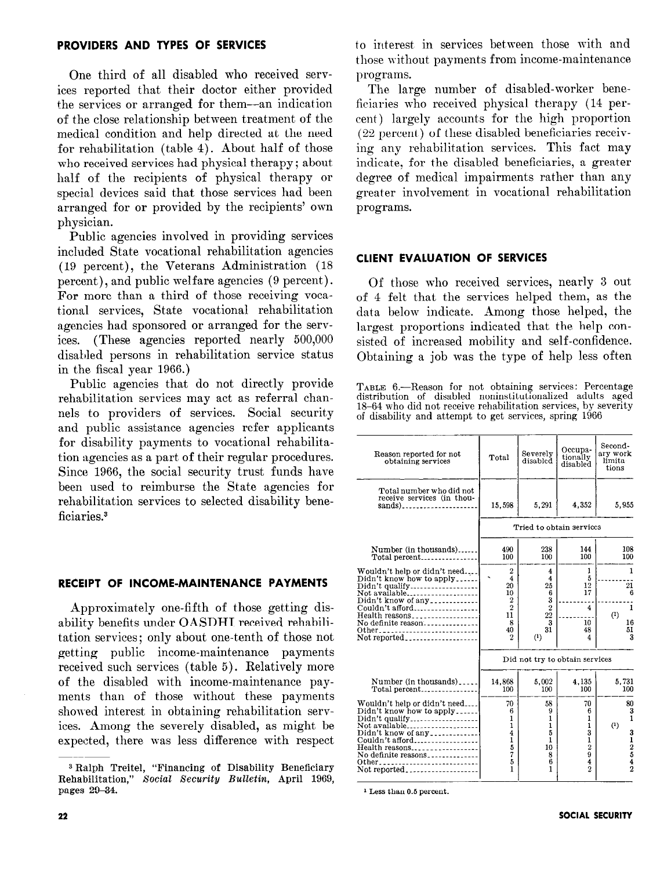## PROVIDERS AND TYPES OF SERVICES

One third of all disabled who received services reported that their doctor either provided the services or arranged for them--an indication of the close relationship between treatment of the medical condition and help directed at the need for rehabilitation (table 4). About half of those who received services had physical therapy ; about half of the recipients of physical therapy or special devices said that those services had been arranged for or provided by the recipients' own physician.

Public agencies involved in providing services included State vocational rehabilitation agencies (19 percent), the Veterans Administration (18 percent), and public welfare agencies (9 percent). For more than a third of those receiving vocational services. State vocational rehabilitation agencies had sponsored or arranged for the services. (These agencies reported nearly 500,000 disabled persons in rehabilitation service status in the fiscal year 1966.)

Public agencies that do not directly provide rehabilitation services may act as referral channels to providers of services. Social security and public assistance agencies refer applicants for disability payments to vocational rehabilitation agencies as a part of their regular procedures. Since 1966, the social security trust funds have been used to reimburse the State agencies for rehabilitation services to selected disability beneficiaries.<sup>3</sup>

#### RECEIPT OF INCOME-MAINTENANCE PAYMENTS

Approximately one-fifth of those getting disability benefits under OASDHI received rehabilitation services; only about one-tenth of those not getting public income-maintenance payments received such services (table 5). Relatively more of the disabled with income-maintenance payments than of those without these payments showed interest in obtaining rehabilitation services. Among the severely disabled, as might be expected, there was less difference with respect to interest in services between those with and those without payments from income-maintenance programs.

The large number of disabled-worker beneficiaries who received physical therapy (14 percent) largely accounts for the high proportion (22 percent) of these disabled beneficiaries receiving any rehabilitation services. This fact may indicate, for the disabled beneficiaries, a greater degree of medical impairments rather than any greater involvement in vocational rehabilitation programs.

### CLIENT EVALUATION OF SERVICES

Of those who received services, nearly 3 out of 4 felt that the services helped them, as the data below indicate. Among those helped, the largest proportions indicated that the help consisted of increased mobility and self-confidence. Obtaining a job was the type of help less often

TABLE 6.-Reason for not obtaining services: Percentage distribution of disabled noninstitutionalized adults aged 18-64 who did not receive rehabilitation services, by severity of disability and attempt to get services, spring 1966

| Reason reported for not<br>obtaining services                                                                                                                        | Total                                                                                                      | Severely<br>disabled                                                   | Occupa-<br>tionally<br>disabled                                                      | Second-<br>ary work<br>limita-<br>tions                |
|----------------------------------------------------------------------------------------------------------------------------------------------------------------------|------------------------------------------------------------------------------------------------------------|------------------------------------------------------------------------|--------------------------------------------------------------------------------------|--------------------------------------------------------|
| Total number who did not<br>receive services (in thou-<br>$sands)$                                                                                                   | 15,598                                                                                                     | 5,291                                                                  | 4,352                                                                                | 5,955                                                  |
|                                                                                                                                                                      |                                                                                                            | Tried to obtain services                                               |                                                                                      |                                                        |
| Number (in thousands)<br>Total percent                                                                                                                               | 490<br>100                                                                                                 | 238<br>100                                                             | 144<br>100                                                                           | 108<br>100                                             |
| Wouldn't help or didn't need<br>Didn't know how to apply<br>Not available<br>Didn't know of any<br>Couldn't afford<br>Health reasons<br>Other<br>Not reported        | $\boldsymbol{2}$<br>4<br>20<br>10<br>$\boldsymbol{2}$<br>$\overline{2}$<br>11<br>8<br>40<br>$\overline{2}$ | 4<br>4<br>25<br>6<br>$\frac{3}{2}$<br>22<br>3<br>31<br>$^{(1)}$        | 1<br>5<br>12<br>17<br>4<br>10<br>48<br>4                                             | 1<br>21<br>6<br>1<br>(1)<br>16<br>51<br>3              |
|                                                                                                                                                                      |                                                                                                            | Did not try to obtain services                                         |                                                                                      |                                                        |
| Number (in thousands)<br>Total percent                                                                                                                               | 14,868<br>100                                                                                              | 5,002<br>100                                                           | 4,135<br>100                                                                         | 5.731<br>100                                           |
| Wouldn't help or didn't need<br>Didn't know how to apply<br>Not available<br>Didn't know of any<br>Couldn't afford<br>Health reasons<br>No definite reasons<br>Other | 70<br>6<br>$\mathbf{1}$<br>$\mathbf{1}$<br>$\overline{4}$<br>$\mathbf{1}$<br>$\frac{5}{7}$<br>5<br>1       | 58<br>9<br>1<br>$\mathbf{1}$<br>5<br>$\mathbf{1}$<br>10<br>8<br>6<br>1 | 70<br>6<br>1<br>$\mathbf{1}$<br>3<br>1<br>$\overline{2}$<br>9<br>4<br>$\overline{2}$ | 80<br>$\frac{3}{1}$<br>(1)<br>3<br>$\frac{1}{2}$ 5 4 2 |

1 Less than 0.5 percent.

<sup>3</sup> Ralph Treitel, "Financing of Disability Beneficiary Rehabilitation," Social Security Bulletin, April 1969, pages 29-34.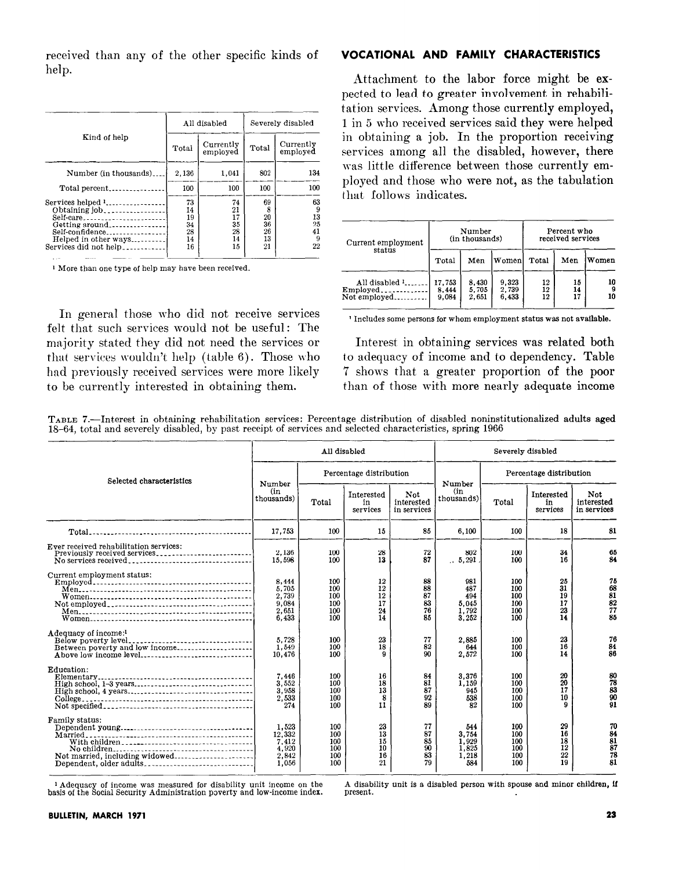received than any of the other specific kinds of help.

|                                                                                                                     |                                        | All disabled                           | Severely disabled                     |                                      |  |
|---------------------------------------------------------------------------------------------------------------------|----------------------------------------|----------------------------------------|---------------------------------------|--------------------------------------|--|
| Kind of help                                                                                                        | Total                                  | Currently<br>employed                  | Total                                 | Currently<br>employed                |  |
| Number (in thousands)                                                                                               | 2.136                                  | 1,041                                  | 802                                   | 134                                  |  |
| Total percent                                                                                                       | 100                                    | 100                                    | 100                                   | 100                                  |  |
| Services helped 1<br>Obtaining job<br>Self-care<br>Self-confidence<br>Helped in other ways<br>Services did not help | 73<br>14<br>19<br>34<br>28<br>14<br>16 | 74<br>21<br>17<br>35<br>28<br>14<br>15 | 69<br>8<br>20<br>36<br>26<br>13<br>21 | 63<br>9<br>13<br>25<br>41<br>9<br>22 |  |

<sup>1</sup> More than one type of help may have been received.

In general those who did not receive services felt that such services would not be useful: The majority stated they did not need the services or that services wouldn't help (table 6). Those who had previously received services were more likely to be currently interested in obtaining them.

## VOCATIONAL AND FAMILY CHARACTERISTICS

Attachment to the labor force might be expected to lead to greater involvement in rehabilitation services. Among those currently employed, I in 5 who received services said they were helped in obtaining a job. In the proportion receiving services among all the disabled, however, there was little difference between those currently employed and those who were not, as the tabulation that follows indicates.

| Current employment                                     |                          | Number<br>(in thousands) |                         | Percent who<br>received services |                |               |  |
|--------------------------------------------------------|--------------------------|--------------------------|-------------------------|----------------------------------|----------------|---------------|--|
| status                                                 | Total                    | Men                      | <b>Women</b>            | Total                            | Men            | Women         |  |
| All disabled $\frac{1}{2}$<br>Employed<br>Not employed | 17.753<br>8.444<br>9.084 | 8.430<br>5,705<br>2,651  | 9,323<br>2,739<br>6,433 | 12<br>12<br>12                   | 15<br>14<br>17 | 10<br>9<br>10 |  |

1 Includes some persons for whom employment status was not available.

Interest in obtaining services was related both to adequacy of income and to dependency. Table '7 shows that a greater proportion of the poor than of those with more nearly adequate income

TABLE 7.--Interest in obtaining rehabilitation services: Percentage distribution of disabled noninstitutionalized adults aged 18-64, total and severely disabled, by past receipt of services and selected characteristics, spring 1966

|                                                                                                | All disabled                                        |                                        |                                  |                                  | Severely disabled                              |                                        |                                  |                                                      |
|------------------------------------------------------------------------------------------------|-----------------------------------------------------|----------------------------------------|----------------------------------|----------------------------------|------------------------------------------------|----------------------------------------|----------------------------------|------------------------------------------------------|
| Selected characteristics                                                                       | Number                                              | Percentage distribution                |                                  |                                  | Number                                         | Percentage distribution                |                                  |                                                      |
|                                                                                                | (in<br>thousands)                                   | Total                                  | Interested<br>in<br>services     | Not<br>interested<br>in services | (in<br>thousands)                              | Total                                  | Interested<br>in<br>services     | Not<br>interested<br>in services                     |
|                                                                                                | 17.753                                              | 100                                    | 15                               | 85                               | 6,100                                          | 100                                    | 18                               | 81                                                   |
| Ever received rehabilitation services:<br>Previously received services<br>No services received | 2.136<br>15,598                                     | 100<br>100                             | 28<br>13                         | 72<br>87                         | 802<br>.5,291                                  | 100<br>100                             | 34<br>16                         | 65<br>84                                             |
| Current employment status:                                                                     | 8.444<br>5.705<br>2,739<br>9.084<br>2.651<br>6.433  | 100<br>100<br>100<br>100<br>100<br>100 | 12<br>12<br>12<br>17<br>24<br>14 | 88<br>88<br>87<br>83<br>76<br>85 | 981<br>487<br>494<br>5,045<br>1,792<br>3,252   | 100<br>100<br>100<br>100<br>100<br>100 | 25<br>31<br>19<br>17<br>23<br>14 | 75<br>68<br>$\frac{81}{82}$<br>$\frac{82}{77}$<br>85 |
| Adequacy of income: <sup>1</sup><br>Between poverty and low income<br>Above low income level   | 5.728<br>1,549<br>10.476                            | 100<br>100<br>100                      | 23<br>18<br>a                    | 77<br>82<br>90                   | 2.885<br>644<br>2,572                          | 100<br>100<br>100                      | 23<br>16<br>14                   | 76<br>84<br>86                                       |
| Education:                                                                                     | 7.446<br>3.552<br>3.958<br>2.533<br>274             | 100<br>100<br>100<br>100<br>100        | 16<br>18<br>13<br>8<br>11        | 84<br>81<br>87<br>92<br>89       | 3.376<br>1,159<br>945<br>538<br>82             | 100<br>100<br>100<br>100<br>100        | 20<br>20<br>17<br>10<br>Q        | 80<br>83<br>90<br>91                                 |
| Family status:<br>Not married, including widowed<br>Dependent, older adults                    | 1.523<br>12,332<br>7,412<br>4.920<br>2,842<br>1.056 | 100<br>100<br>100<br>100<br>100<br>100 | 23<br>13<br>15<br>10<br>16<br>21 | 77<br>87<br>85<br>90<br>83<br>79 | 544<br>3.754<br>1.929<br>1,825<br>1,218<br>584 | 100<br>100<br>100<br>100<br>100<br>100 | 29<br>16<br>18<br>12<br>22<br>19 | 70<br>84<br>81<br>87<br>78<br>81                     |

Adequacy of income was measured for disability unit income on the Ausability unit is a disabled person with spouse and minor children, if has a say in the Social Security Administration poverty and low-income index. presen